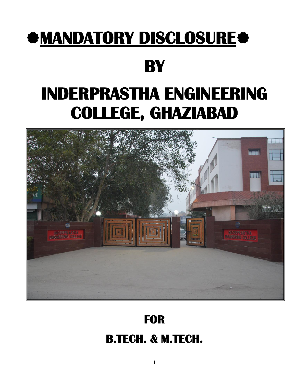## **MANDATORY DISCLOSURE**

## **BY**

# **INDERPRASTHA ENGINEERING COLLEGE, GHAZIABAD**



## **FOR B.TECH. & M.TECH.**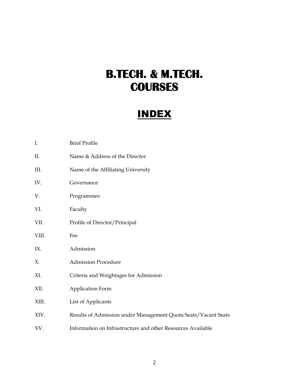### **B.TECH. & M.TECH. COURSES**

### INDEX

| I.    | <b>Brief Profile</b>                                           |
|-------|----------------------------------------------------------------|
| Π.    | Name & Address of the Director                                 |
| III.  | Name of the Affiliating University                             |
| IV.   | Governance                                                     |
| V.    | Programmes                                                     |
| VI.   | Faculty                                                        |
| VII.  | Profile of Director/Principal                                  |
| VIII. | Fee                                                            |
| IX.   | Admission                                                      |
| Х.    | <b>Admission Procedure</b>                                     |
| XI.   | Criteria and Weightages for Admission                          |
| XII.  | Application Form                                               |
| XIII. | List of Applicants                                             |
| XIV.  | Results of Admission under Management Quota Seats/Vacant Seats |
| XV.   | Information on Infrastructure and other Resources Available    |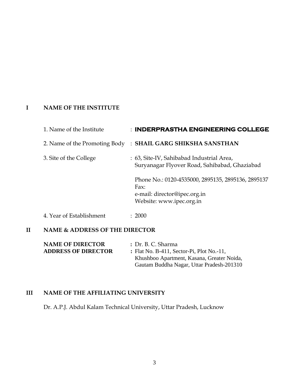#### **I NAME OF THE INSTITUTE**

| 1. Name of the Institute | : INDERPRASTHA ENGINEERING COLLEGE                                                                                     |
|--------------------------|------------------------------------------------------------------------------------------------------------------------|
|                          | 2. Name of the Promoting Body: SHAIL GARG SHIKSHA SANSTHAN                                                             |
| 3. Site of the College   | : 63, Site-IV, Sahibabad Industrial Area,<br>Suryanagar Flyover Road, Sahibabad, Ghaziabad                             |
|                          | Phone No.: 0120-4535000, 2895135, 2895136, 2895137<br>Fax:<br>e-mail: director@ipec.org.in<br>Website: www.ipec.org.in |
| 4. Year of Establishment | : 2000                                                                                                                 |

#### **II NAME & ADDRESS OF THE DIRECTOR**

| <b>NAME OF DIRECTOR</b>    | : Dr. B. C. Sharma                         |
|----------------------------|--------------------------------------------|
| <b>ADDRESS OF DIRECTOR</b> | : Flat No. B-411, Sector-Pi, Plot No.-11,  |
|                            | Khushboo Apartment, Kasana, Greater Noida, |
|                            | Gautam Buddha Nagar, Uttar Pradesh-201310  |

#### **III NAME OF THE AFFILIATING UNIVERSITY**

Dr. A.P.J. Abdul Kalam Technical University, Uttar Pradesh, Lucknow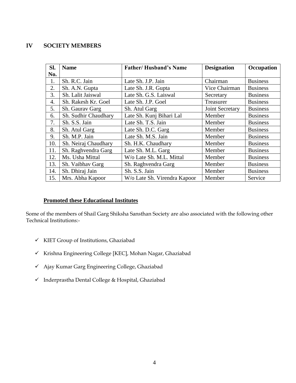#### **IV SOCIETY MEMBERS**

| SI.              | <b>Name</b>          | <b>Father/Husband's Name</b> | <b>Designation</b> | Occupation      |
|------------------|----------------------|------------------------------|--------------------|-----------------|
| No.              |                      |                              |                    |                 |
| 1.               | Sh. R.C. Jain        | Late Sh. J.P. Jain           | Chairman           | <b>Business</b> |
| 2.               | Sh. A.N. Gupta       | Late Sh. J.R. Gupta          | Vice Chairman      | <b>Business</b> |
| 3.               | Sh. Lalit Jaiswal    | Late Sh. G.S. Laiswal        | Secretary          | <b>Business</b> |
| $\overline{4}$ . | Sh. Rakesh Kr. Goel  | Late Sh. J.P. Goel           | Treasurer          | <b>Business</b> |
| 5.               | Sh. Gaurav Garg      | Sh. Atul Garg                | Joint Secretary    | <b>Business</b> |
| 6.               | Sh. Sudhir Chaudhary | Late Sh. Kunj Bihari Lal     | Member             | <b>Business</b> |
| 7.               | Sh. S.S. Jain        | Late Sh. T.S. Jain           | Member             | <b>Business</b> |
| 8.               | Sh. Atul Garg        | Late Sh. D.C. Garg           | Member             | <b>Business</b> |
| 9.               | Sh. M.P. Jain        | Late Sh. M.S. Jain           | Member             | <b>Business</b> |
| 10.              | Sh. Neiraj Chaudhary | Sh. H.K. Chaudhary           | Member             | <b>Business</b> |
| 11.              | Sh. Raghvendra Garg  | Late Sh. M.L. Garg           | Member             | <b>Business</b> |
| 12.              | Ms. Usha Mittal      | W/o Late Sh. M.L. Mittal     | Member             | <b>Business</b> |
| 13.              | Sh. Vaibhav Garg     | Sh. Raghvendra Garg          | Member             | <b>Business</b> |
| 14.              | Sh. Dhiraj Jain      | Sh. S.S. Jain                | Member             | <b>Business</b> |
| 15.              | Mrs. Abha Kapoor     | W/o Late Sh. Virendra Kapoor | Member             | Service         |

#### **Promoted these Educational Institutes**

Some of the members of Shail Garg Shiksha Sansthan Society are also associated with the following other Technical Institutions:-

- ✓ KIET Group of Institutions, Ghaziabad
- ✓ Krishna Engineering College [KEC], Mohan Nagar, Ghaziabad
- ✓ Ajay Kumar Garg Engineering College, Ghaziabad
- ✓ Inderprastha Dental College & Hospital, Ghaziabad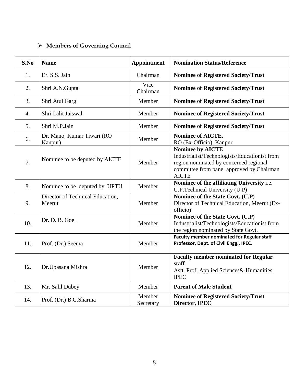### ➢ **Members of Governing Council**

| S.No             | <b>Name</b>                                | <b>Appointment</b>  | <b>Nomination Status/Reference</b>                                                                                                                                              |
|------------------|--------------------------------------------|---------------------|---------------------------------------------------------------------------------------------------------------------------------------------------------------------------------|
| 1.               | Er. S.S. Jain                              | Chairman            | <b>Nominee of Registered Society/Trust</b>                                                                                                                                      |
| 2.               | Shri A.N.Gupta                             | Vice<br>Chairman    | <b>Nominee of Registered Society/Trust</b>                                                                                                                                      |
| 3.               | Shri Atul Garg                             | Member              | <b>Nominee of Registered Society/Trust</b>                                                                                                                                      |
| $\overline{4}$ . | Shri Lalit Jaiswal                         | Member              | <b>Nominee of Registered Society/Trust</b>                                                                                                                                      |
| 5.               | Shri M.P.Jain                              | Member              | <b>Nominee of Registered Society/Trust</b>                                                                                                                                      |
| 6.               | Dr. Manoj Kumar Tiwari (RO<br>Kanpur)      | Member              | Nominee of AICTE,<br>RO (Ex-Officio), Kanpur                                                                                                                                    |
| 7.               | Nominee to be deputed by AICTE             | Member              | <b>Nominee by AICTE</b><br>Industrialist/Technologists/Educationist from<br>region nominated by concerned regional<br>committee from panel approved by Chairman<br><b>AICTE</b> |
| 8.               | Nominee to be deputed by UPTU              | Member              | Nominee of the affiliating University i.e.<br>U.P.Technical University (U.P)                                                                                                    |
| 9.               | Director of Technical Education,<br>Meerut | Member              | Nominee of the State Govt. (U.P)<br>Director of Technical Education, Meerut (Ex-<br>officio)                                                                                    |
| 10.              | Dr. D. B. Goel                             | Member              | Nominee of the State Govt. (U.P)<br>Industrialist/Technologists/Educationist from<br>the region nominated by State Govt.                                                        |
| 11.              | Prof. (Dr.) Seema                          | Member              | <b>Faculty member nominated for Regular staff</b><br>Professor, Dept. of Civil Engg., IPEC.                                                                                     |
| 12.              | Dr. Upasana Mishra                         | Member              | <b>Faculty member nominated for Regular</b><br>staff<br>Astt. Prof, Applied Sciences& Humanities,<br><b>IPEC</b>                                                                |
| 13.              | Mr. Salil Dubey                            | Member              | <b>Parent of Male Student</b>                                                                                                                                                   |
| 14.              | Prof. (Dr.) B.C.Sharma                     | Member<br>Secretary | <b>Nominee of Registered Society/Trust</b><br>Director, IPEC                                                                                                                    |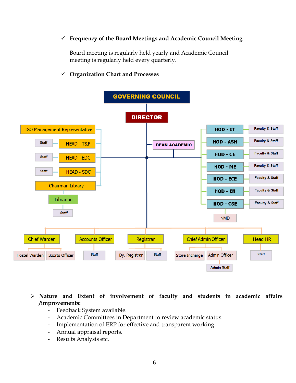#### ✓ **Frequency of the Board Meetings and Academic Council Meeting**

Board meeting is regularly held yearly and Academic Council meeting is regularly held every quarterly.



#### ✓ **Organization Chart and Processes**

➢ **Nature and Extent of involvement of faculty and students in academic affairs /improvements:**

- Feedback System available.
- Academic Committees in Department to review academic status.
- Implementation of ERP for effective and transparent working.
- Annual appraisal reports.
- Results Analysis etc.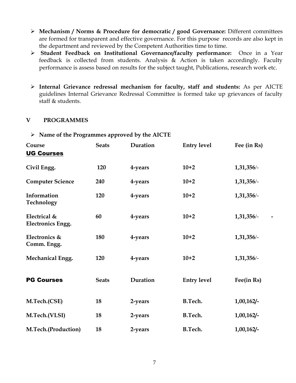- ➢ **Mechanism / Norms & Procedure for democratic / good Governance:** Different committees are formed for transparent and effective governance. For this purpose records are also kept in the department and reviewed by the Competent Authorities time to time.
- ➢ **Student Feedback on Institutional Governance/faculty performance:** Once in a Year feedback is collected from students. Analysis & Action is taken accordingly. Faculty performance is assess based on results for the subject taught, Publications, research work etc.
- ➢ **Internal Grievance redressal mechanism for faculty, staff and students:** As per AICTE guidelines Internal Grievance Redressal Committee is formed take up grievances of faculty staff & students.

#### **V PROGRAMMES**

| Course<br><b>UG Courses</b>              | <b>Seats</b> | Duration | <b>Entry level</b> | Fee (in Rs)   |
|------------------------------------------|--------------|----------|--------------------|---------------|
| Civil Engg.                              | 120          | 4-years  | $10+2$             | 1,31,356/-    |
| <b>Computer Science</b>                  | 240          | 4-years  | $10+2$             | 1,31,356/-    |
| Information<br>Technology                | 120          | 4-years  | $10+2$             | $1,31,356/-$  |
| Electrical &<br><b>Electronics Engg.</b> | 60           | 4-years  | $10+2$             | $1,31,356/-$  |
| Electronics &<br>Comm. Engg.             | 180          | 4-years  | $10+2$             | $1,31,356/-$  |
| Mechanical Engg.                         | 120          | 4-years  | $10+2$             | $1,31,356/-$  |
| <b>PG Courses</b>                        | <b>Seats</b> | Duration | <b>Entry level</b> | Fee(in Rs)    |
| M.Tech.(CSE)                             | 18           | 2-years  | <b>B.Tech.</b>     | 1,00,162/     |
| M.Tech.(VLSI)                            | 18           | 2-years  | <b>B.Tech.</b>     | 1,00,162/     |
| M.Tech.(Production)                      | 18           | 2-years  | <b>B.Tech.</b>     | $1,00,162/$ - |

➢ **Name of the Programmes approved by the AICTE**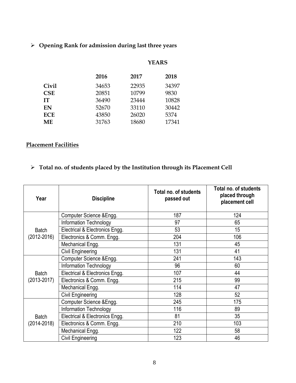➢ **Opening Rank for admission during last three years**

|            |       | <b>YEARS</b> |       |  |
|------------|-------|--------------|-------|--|
|            | 2016  | 2017         | 2018  |  |
| Civil      | 34653 | 22935        | 34397 |  |
| <b>CSE</b> | 20851 | 10799        | 9830  |  |
| IТ         | 36490 | 23444        | 10828 |  |
| EN         | 52670 | 33110        | 30442 |  |
| <b>ECE</b> | 43850 | 26020        | 5374  |  |
| MЕ         | 31763 | 18680        | 17341 |  |

#### **Placement Facilities**

#### ➢ **Total no. of students placed by the Institution through its Placement Cell**

| Year         | <b>Discipline</b>              | Total no. of students<br>passed out | Total no. of students<br>placed through<br>placement cell |
|--------------|--------------------------------|-------------------------------------|-----------------------------------------------------------|
|              | Computer Science & Engg.       | 187                                 | 124                                                       |
|              | Information Technology         | 97                                  | 65                                                        |
| <b>Batch</b> | Electrical & Electronics Engg. | 53                                  | 15                                                        |
| (2012-2016)  | Electronics & Comm. Engg.      | 204                                 | 106                                                       |
|              | Mechanical Engg.               | 131                                 | 45                                                        |
|              | Civil Engineering              | 131                                 | 41                                                        |
|              | Computer Science & Engg.       | 241                                 | 143                                                       |
|              | Information Technology         | 96                                  | 60                                                        |
| <b>Batch</b> | Electrical & Electronics Engg. | 107                                 | 44                                                        |
| (2013-2017)  | Electronics & Comm. Engg.      | 215                                 | 99                                                        |
|              | Mechanical Engg.               | 114                                 | 47                                                        |
|              | Civil Engineering              | 128                                 | 52                                                        |
|              | Computer Science & Engg.       | 245                                 | 175                                                       |
| <b>Batch</b> | Information Technology         | 116                                 | 89                                                        |
|              | Electrical & Electronics Engg. | 81                                  | 35                                                        |
| (2014-2018)  | Electronics & Comm. Engg.      | 210                                 | 103                                                       |
|              | Mechanical Engg.               | 122                                 | 58                                                        |
|              | Civil Engineering              | 123                                 | 46                                                        |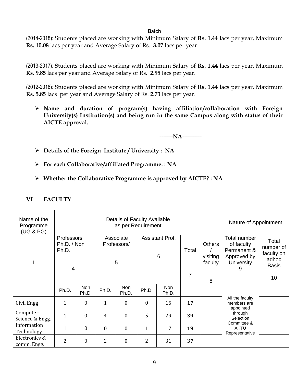#### **Batch**

(2014-2018): Students placed are working with Minimum Salary of **Rs. 1.44** lacs per year, Maximum **Rs. 10.08** lacs per year and Average Salary of Rs. **3.07** lacs per year.

(2013-2017): Students placed are working with Minimum Salary of **Rs. 1.44** lacs per year, Maximum **Rs. 9.85** lacs per year and Average Salary of Rs. **2.95** lacs per year.

(2012-2016): Students placed are working with Minimum Salary of **Rs. 1.44** lacs per year, Maximum **Rs. 5.85** lacs per year and Average Salary of Rs. **2.73** lacs per year.

➢ **Name and duration of program(s) having affiliation/collaboration with Foreign University(s) Institution(s) and being run in the same Campus along with status of their AICTE approval.**

**-------NA----------**

- ➢ **Details of the Foreign Institute / University : NA**
- ➢ **For each Collaborative/affiliated Programme. : NA**
- ➢ **Whether the Collaborative Programme is approved by AICTE? : NA**

| Name of the<br>Programme<br>(UG & PG) |                                         | Details of Faculty Available<br>as per Requirement |                |                                                                            |              |              |                                      |                                                                                    |                                                           | Nature of Appointment |
|---------------------------------------|-----------------------------------------|----------------------------------------------------|----------------|----------------------------------------------------------------------------|--------------|--------------|--------------------------------------|------------------------------------------------------------------------------------|-----------------------------------------------------------|-----------------------|
| 1                                     | Professors<br>Ph.D. / Non<br>Ph.D.<br>4 |                                                    |                | Associate<br><b>Assistant Prof.</b><br>Professors/<br>$6\phantom{1}6$<br>5 |              | Total        | <b>Others</b><br>visiting<br>faculty | Total number<br>of faculty<br>Permanent &<br>Approved by<br><b>University</b><br>9 | Total<br>number of<br>faculty on<br>adhoc<br><b>Basis</b> |                       |
|                                       |                                         |                                                    |                |                                                                            |              |              | 7                                    | 8                                                                                  |                                                           | 10                    |
|                                       | Ph.D.                                   | Non<br>Ph.D.                                       | Ph.D.          | <b>Non</b><br>Ph.D.                                                        | Ph.D.        | Non<br>Ph.D. |                                      |                                                                                    |                                                           |                       |
| Civil Engg                            | 1                                       | $\overline{0}$                                     | 1              | $\mathbf{0}$                                                               | $\mathbf{0}$ | 15           | 17                                   |                                                                                    | All the faculty<br>members are<br>appointed               |                       |
| Computer<br>Science & Engg.           | 1                                       | $\overline{0}$                                     | 4              | $\mathbf{0}$                                                               | 5            | 29           | 39                                   |                                                                                    | through<br>Selection                                      |                       |
| Information<br>Technology             | 1                                       | $\theta$                                           | $\theta$       | $\theta$                                                                   | $\mathbf{1}$ | 17           | 19                                   |                                                                                    | Committee &<br><b>AKTU</b><br>Representative              |                       |
| Electronics &<br>comm. Engg.          | 2                                       | $\boldsymbol{0}$                                   | $\overline{2}$ | $\boldsymbol{0}$                                                           | 2            | 31           | 37                                   |                                                                                    |                                                           |                       |

#### **VI FACULTY**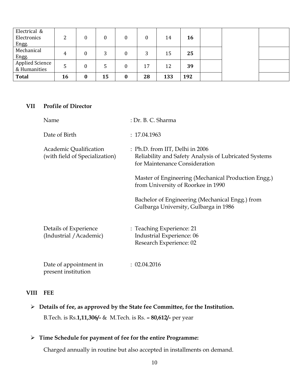| Electrical &<br>Electronics<br>Engg.   | ▃  |          | 0            |          | 0  | 14  | 16  |  |  |
|----------------------------------------|----|----------|--------------|----------|----|-----|-----|--|--|
| Mechanical<br>Engg.                    | 4  |          | 3            |          | 3  | 15  | 25  |  |  |
| <b>Applied Science</b><br>& Humanities | 5  | 0        | $\mathbf{b}$ | 0        | 17 | 12  | 39  |  |  |
| <b>Total</b>                           | 16 | $\bf{0}$ | 15           | $\bf{0}$ | 28 | 133 | 192 |  |  |

#### **VII Profile of Director**

| Name                                                     | : Dr. B. C. Sharma                                                                                                        |
|----------------------------------------------------------|---------------------------------------------------------------------------------------------------------------------------|
| Date of Birth                                            | : 17.04.1963                                                                                                              |
| Academic Qualification<br>(with field of Specialization) | : Ph.D. from IIT, Delhi in 2006<br>Reliability and Safety Analysis of Lubricated Systems<br>for Maintenance Consideration |
|                                                          | Master of Engineering (Mechanical Production Engg.)<br>from University of Roorkee in 1990                                 |
|                                                          | Bachelor of Engineering (Mechanical Engg.) from<br>Gulbarga University, Gulbarga in 1986                                  |
| Details of Experience<br>(Industrial / Academic)         | : Teaching Experience: 21<br>Industrial Experience: 06<br>Research Experience: 02                                         |
| Date of appointment in<br>present institution            | : 02.04.2016                                                                                                              |

#### **VIII FEE**

➢ **Details of fee, as approved by the State fee Committee, for the Institution.** B.Tech. is Rs.**1,11,306/-** & M.Tech. is Rs. **– 80,612/-** per year

#### ➢ **Time Schedule for payment of fee for the entire Programme:**

Charged annually in routine but also accepted in installments on demand.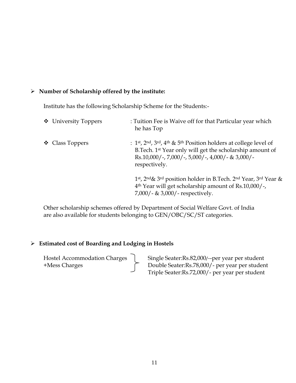#### ➢ **Number of Scholarship offered by the institute:**

Institute has the following Scholarship Scheme for the Students:-

| ❖ University Toppers          | : Tuition Fee is Waive off for that Particular year which<br>he has Top                                                                                                                                                                                                        |
|-------------------------------|--------------------------------------------------------------------------------------------------------------------------------------------------------------------------------------------------------------------------------------------------------------------------------|
| $\triangleleft$ Class Toppers | : 1 <sup>st</sup> , 2 <sup>nd</sup> , 3 <sup>rd</sup> , 4 <sup>th</sup> & 5 <sup>th</sup> Position holders at college level of<br>B.Tech. 1 <sup>st</sup> Year only will get the scholarship amount of<br>$Rs.10,000/-$ , 7,000/-, 5,000/-, 4,000/- & 3,000/-<br>respectively. |
|                               | 1st, 2nd& 3rd position holder in B.Tech. 2nd Year, 3rd Year &<br>4 <sup>th</sup> Year will get scholarship amount of Rs.10,000/-<br>$7,000/$ - & 3,000/- respectively.                                                                                                         |

Other scholarship schemes offered by Department of Social Welfare Govt. of India are also available for students belonging to GEN/OBC/SC/ST categories.

#### ➢ **Estimated cost of Boarding and Lodging in Hostels**

Hostel Accommodation Charges | Single Seater:Rs.82,000/--per year per student +Mess Charges Double Seater:Rs.78,000/- per year per student Triple Seater:Rs.72,000/- per year per student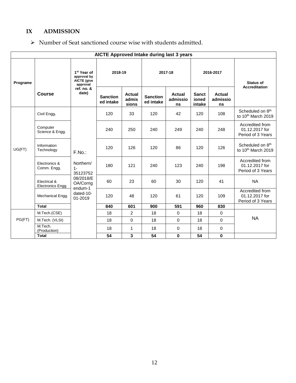#### **IX ADMISSION**

#### ➢ Number of Seat sanctioned course wise with students admitted.

|          | AICTE Approved Intake during last 3 years |                                                                          |                              |                          |                              |                          |                                 |                          |                                                                |
|----------|-------------------------------------------|--------------------------------------------------------------------------|------------------------------|--------------------------|------------------------------|--------------------------|---------------------------------|--------------------------|----------------------------------------------------------------|
| Programe |                                           | 1 <sup>st</sup> Year of<br>approval by<br><b>AICTE</b> (give<br>approval | 2018-19                      |                          | 2017-18                      |                          | 2016-2017                       |                          | <b>Status of</b>                                               |
|          | Course                                    | ref. no. &<br>date)                                                      | <b>Sanction</b><br>ed intake | Actual<br>admis<br>sions | <b>Sanction</b><br>ed intake | Actual<br>admissio<br>ns | <b>Sanct</b><br>ioned<br>intake | Actual<br>admissio<br>ns | <b>Accreditation</b>                                           |
|          | Civil Engg.                               |                                                                          | 120                          | 33                       | 120                          | 42                       | 120                             | 108                      | Scheduled on 8 <sup>th</sup><br>to 10 <sup>th</sup> March 2019 |
| UG(FT)   | Computer<br>Science & Engg.               | F.No.<br>Northern/<br>$1 -$<br>35123752<br>08/2018/E<br>OA/Corrig        | 240                          | 250                      | 240                          | 249                      | 240                             | 248                      | Accredited from<br>01.12.2017 for<br>Period of 3 Years         |
|          | Information<br>Technology                 |                                                                          | 120                          | 126                      | 120                          | 86                       | 120                             | 126                      | Scheduled on 8 <sup>th</sup><br>to 10th March 2019             |
|          | Electronics &<br>Comm. Engg.              |                                                                          | 180                          | 121                      | 240                          | 123                      | 240                             | 198                      | Accredited from<br>01.12.2017 for<br>Period of 3 Years         |
|          | Electrical &<br><b>Electronics Engg</b>   |                                                                          | 60                           | 23                       | 60                           | 30                       | 120                             | 41                       | <b>NA</b>                                                      |
|          | Mechanical Engg.                          | endum-1<br>dated-10-<br>01-2019                                          | 120                          | 48                       | 120                          | 61                       | 120                             | 109                      | Accredited from<br>01.12.2017 for<br>Period of 3 Years         |
|          | <b>Total</b>                              |                                                                          | 840                          | 601                      | 900                          | 591                      | 960                             | 830                      |                                                                |
|          | M.Tech.(CSE)                              |                                                                          | 18                           | 2                        | 18                           | $\mathbf 0$              | 18                              | $\mathbf 0$              |                                                                |
| PG(FT)   | M.Tech. (VLSI)                            |                                                                          | 18                           | $\mathbf 0$              | 18                           | $\mathbf 0$              | 18                              | 0                        | <b>NA</b>                                                      |
|          | M.Tech.<br>(Production)                   |                                                                          | 18                           | 1                        | 18                           | $\mathbf 0$              | 18                              | $\mathbf 0$              |                                                                |
|          | <b>Total</b>                              |                                                                          | 54                           | 3                        | 54                           | $\bf{0}$                 | 54                              | $\mathbf{0}$             |                                                                |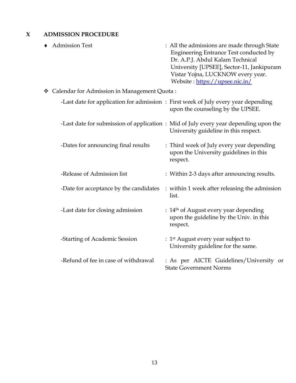#### **X ADMISSION PROCEDURE**

| <b>Admission Test</b>                          | : All the admissions are made through State<br>Engineering Entrance Test conducted by<br>Dr. A.P.J. Abdul Kalam Technical<br>University [UPSEE], Sector-11, Jankipuram<br>Vistar Yojna, LUCKNOW every year.<br>Website: https://upsee.nic.in/ |
|------------------------------------------------|-----------------------------------------------------------------------------------------------------------------------------------------------------------------------------------------------------------------------------------------------|
| ❖ Calendar for Admission in Management Quota : |                                                                                                                                                                                                                                               |
|                                                | -Last date for application for admission: First week of July every year depending<br>upon the counseling by the UPSEE.                                                                                                                        |
|                                                | -Last date for submission of application: Mid of July every year depending upon the<br>University guideline in this respect.                                                                                                                  |
| -Dates for announcing final results            | : Third week of July every year depending<br>upon the University guidelines in this<br>respect.                                                                                                                                               |
| -Release of Admission list                     | : Within 2-3 days after announcing results.                                                                                                                                                                                                   |
| -Date for acceptance by the candidates         | : within 1 week after releasing the admission<br>list.                                                                                                                                                                                        |
| -Last date for closing admission               | : $14th$ of August every year depending<br>upon the guideline by the Univ. in this<br>respect.                                                                                                                                                |
| -Starting of Academic Session                  | : $1st$ August every year subject to<br>University guideline for the same.                                                                                                                                                                    |
| -Refund of fee in case of withdrawal           | : As per AICTE Guidelines/University or<br><b>State Government Norms</b>                                                                                                                                                                      |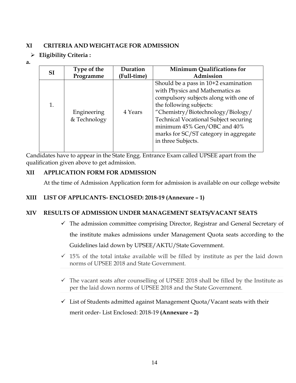#### **XI CRITERIA AND WEIGHTAGE FOR ADMISSION**

- ➢ **Eligibility Criteria :**
- **a.**

| <b>SI</b> | Type of the                 | Duration    | <b>Minimum Qualifications for</b>                                                                                                                                                                                                                                                                                         |
|-----------|-----------------------------|-------------|---------------------------------------------------------------------------------------------------------------------------------------------------------------------------------------------------------------------------------------------------------------------------------------------------------------------------|
|           | Programme                   | (Full-time) | Admission                                                                                                                                                                                                                                                                                                                 |
|           | Engineering<br>& Technology | 4 Years     | Should be a pass in $10+2$ examination<br>with Physics and Mathematics as<br>compulsory subjects along with one of<br>the following subjects:<br>"Chemistry/Biotechnology/Biology/<br>Technical Vocational Subject securing<br>minimum 45% Gen/OBC and 40%<br>marks for SC/ST category in aggregate<br>in three Subjects. |

Candidates have to appear in the State Engg. Entrance Exam called UPSEE apart from the qualification given above to get admission.

#### **XII APPLICATION FORM FOR ADMISSION**

At the time of Admission Application form for admission is available on our college website

#### **XIII LIST OF APPLICANTS- ENCLOSED: 2018-19 (Annexure – 1)**

#### **XIV RESULTS OF ADMISSION UNDER MANAGEMENT SEATS/VACANT SEATS**

- $\checkmark$  The admission committee comprising Director, Registrar and General Secretary of the institute makes admissions under Management Quota seats according to the Guidelines laid down by UPSEE/AKTU/State Government.
- $\checkmark$  15% of the total intake available will be filled by institute as per the laid down norms of UPSEE 2018 and State Government.
- $\checkmark$  The vacant seats after counselling of UPSEE 2018 shall be filled by the Institute as per the laid down norms of UPSEE 2018 and the State Government.
- $\checkmark$  List of Students admitted against Management Quota/Vacant seats with their merit order- List Enclosed: 2018-19 **(Annexure – 2)**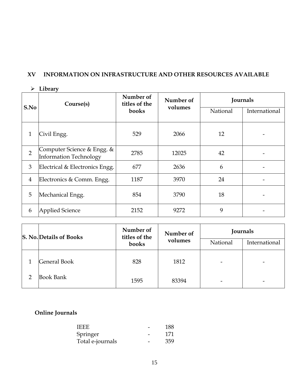#### **XV INFORMATION ON INFRASTRUCTURE AND OTHER RESOURCES AVAILABLE**

➢ **Library**

|                | Course(s)                                                   | Number of<br>titles of the | Number of | Journals |               |
|----------------|-------------------------------------------------------------|----------------------------|-----------|----------|---------------|
| S.No           |                                                             | books                      | volumes   | National | International |
| $\mathbf{1}$   | Civil Engg.                                                 | 529                        | 2066      | 12       |               |
| $\overline{2}$ | Computer Science & Engg. &<br><b>Information Technology</b> | 2785                       | 12025     | 42       |               |
| 3              | Electrical & Electronics Engg.                              | 677                        | 2636      | 6        |               |
| $\overline{4}$ | Electronics & Comm. Engg.                                   | 1187                       | 3970      | 24       |               |
| 5              | Mechanical Engg.                                            | 854                        | 3790      | 18       |               |
| 6              | <b>Applied Science</b>                                      | 2152                       | 9272      | 9        |               |

| <b>S. No. Details of Books</b> | Number of<br>titles of the | Number of | Journals |               |
|--------------------------------|----------------------------|-----------|----------|---------------|
|                                | books                      | volumes   | National | International |
| General Book                   | 828                        | 1812      |          |               |
| <b>Book Bank</b>               | 1595                       | 83394     |          |               |

#### **Online Journals**

| TEEE             | 188. |
|------------------|------|
| Springer         | 171  |
| Total e-journals | 359  |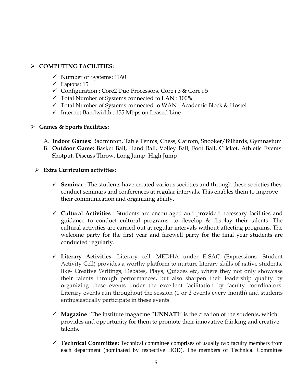#### ➢ **COMPUTING FACILITIES:**

- ✓ Number of Systems: 1160
- $\checkmark$  Laptops: 15
- ✓ Configuration : Core2 Duo Processors, Core i 3 & Core i 5
- $\checkmark$  Total Number of Systems connected to LAN : 100%
- ✓ Total Number of Systems connected to WAN : Academic Block & Hostel
- ✓ Internet Bandwidth : 155 Mbps on Leased Line

#### ➢ **Games & Sports Facilities:**

- A. **Indoor Games:** Badminton, Table Tennis, Chess, Carrom, Snooker/Billiards, Gymnasium
- B. **Outdoor Game:** Basket Ball, Hand Ball, Volley Ball, Foot Ball, Cricket, Athletic Events: Shotput, Discuss Throw, Long Jump, High Jump
- ➢ **Extra Curriculum activities**:
	- ✓ **Seminar** : The students have created various societies and through these societies they conduct seminars and conferences at regular intervals. This enables them to improve their communication and organizing ability.
	- ✓ **Cultural Activities** : Students are encouraged and provided necessary facilities and guidance to conduct cultural programs, to develop & display their talents. The cultural activities are carried out at regular intervals without affecting programs. The welcome party for the first year and farewell party for the final year students are conducted regularly.
	- ✓ **Literary Activities**: Literary cell, MEDHA under E-SAC (Expressions- Student Activity Cell) provides a worthy platform to nurture literary skills of native students, like- Creative Writings, Debates, Plays, Quizzes etc, where they not only showcase their talents through performances, but also sharpen their leadership quality by organizing these events under the excellent facilitation by faculty coordinators. Literary events run throughout the session (1 or 2 events every month) and students enthusiastically participate in these events.
	- ✓ **Magazine** : The institute magazine "**UNNATI**" is the creation of the students, which provides and opportunity for them to promote their innovative thinking and creative talents.
	- ✓ **Technical Committee:** Technical committee comprises of usually two faculty members from each department (nominated by respective HOD). The members of Technical Committee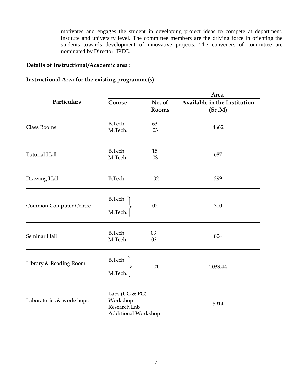motivates and engages the student in developing project ideas to compete at department, institute and university level. The committee members are the driving force in orienting the students towards development of innovative projects. The conveners of committee are nominated by Director, IPEC.

#### **Details of Instructional/Academic area :**

#### **Instructional Area for the existing programme(s)**

|                          |                                                                   |                 | Area                                   |  |  |
|--------------------------|-------------------------------------------------------------------|-----------------|----------------------------------------|--|--|
| Particulars              | Course                                                            | No. of<br>Rooms | Available in the Institution<br>(Sq.M) |  |  |
| Class Rooms              | <b>B.Tech.</b><br>M.Tech.                                         | 63<br>03        | 4662                                   |  |  |
| <b>Tutorial Hall</b>     | B.Tech.<br>M.Tech.                                                | 15<br>03        | 687                                    |  |  |
| Drawing Hall             | <b>B.Tech</b>                                                     | 02              | 299                                    |  |  |
| Common Computer Centre   | <b>B.Tech.</b><br>M.Tech.                                         | 02              | 310                                    |  |  |
| Seminar Hall             | <b>B.Tech.</b><br>M.Tech.                                         | 03<br>03        | 804                                    |  |  |
| Library & Reading Room   | <b>B.Tech.</b><br>M.Tech.                                         | 01              | 1033.44                                |  |  |
| Laboratories & workshops | Labs (UG & PG)<br>Workshop<br>Research Lab<br>Additional Workshop |                 | 5914                                   |  |  |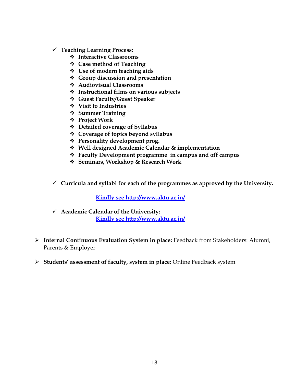- ✓ **Teaching Learning Process:** 
	- ❖ **Interactive Classrooms**
	- ❖ **Case method of Teaching**
	- ❖ **Use of modern teaching aids**
	- ❖ **Group discussion and presentation**
	- ❖ **Audiovisual Classrooms**
	- ❖ **Instructional films on various subjects**
	- ❖ **Guest Faculty/Guest Speaker**
	- ❖ **Visit to Industries**
	- ❖ **Summer Training**
	- ❖ **Project Work**
	- ❖ **Detailed coverage of Syllabus**
	- ❖ **Coverage of topics beyond syllabus**
	- ❖ **Personality development prog.**
	- ❖ **Well designed Academic Calendar & implementation**
	- ❖ **Faculty Development programme in campus and off campus**
	- ❖ **Seminars, Workshop & Research Work**
- ✓ **Curricula and syllabi for each of the programmes as approved by the University.**

**Kindly see http://www.aktu.ac.in/**

- ✓ **Academic Calendar of the University: Kindly see<http://www.aktu.ac.in/>**
- ➢ **Internal Continuous Evaluation System in place:** Feedback from Stakeholders: Alumni, Parents & Employer
- ➢ **Students' assessment of faculty, system in place:** Online Feedback system